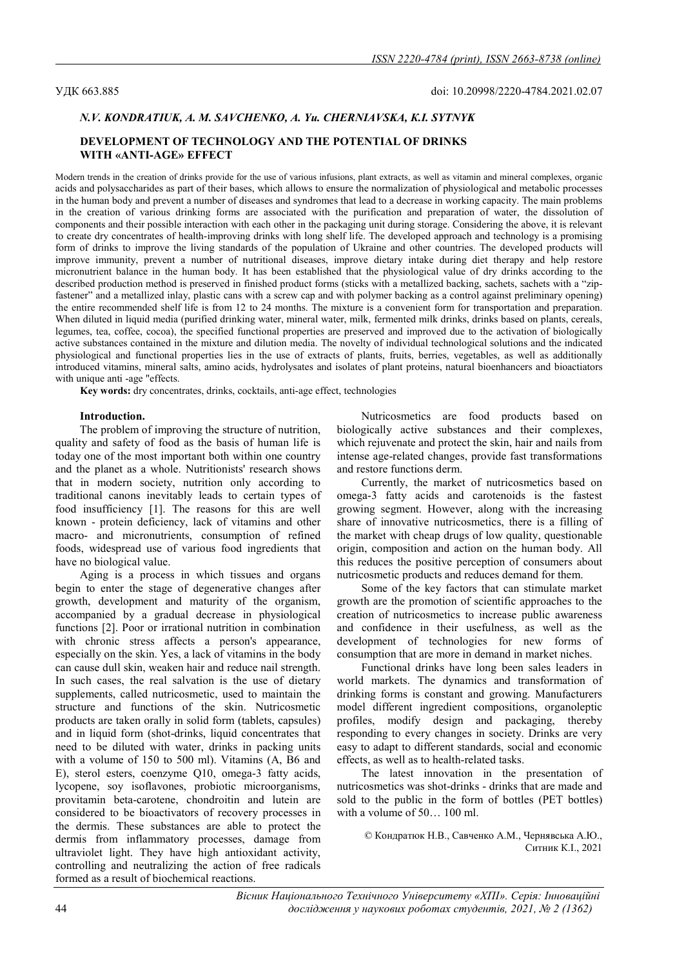# N.V. KONDRATIUK, А. М. SAVCHENKO, А. Yu. CHERNIAVSKA, К.І. SYTNYK

# DEVELOPMENT OF TECHNOLOGY AND THE POTENTIAL OF DRINKS WITH «ANTI-AGE» EFFECT

Modern trends in the creation of drinks provide for the use of various infusions, plant extracts, as well as vitamin and mineral complexes, organic acids and polysaccharides as part of their bases, which allows to ensure the normalization of physiological and metabolic processes in the human body and prevent a number of diseases and syndromes that lead to a decrease in working capacity. The main problems in the creation of various drinking forms are associated with the purification and preparation of water, the dissolution of components and their possible interaction with each other in the packaging unit during storage. Considering the above, it is relevant to create dry concentrates of health-improving drinks with long shelf life. The developed approach and technology is a promising form of drinks to improve the living standards of the population of Ukraine and other countries. The developed products will improve immunity, prevent a number of nutritional diseases, improve dietary intake during diet therapy and help restore micronutrient balance in the human body. It has been established that the physiological value of dry drinks according to the described production method is preserved in finished product forms (sticks with a metallized backing, sachets, sachets with a "zipfastener" and a metallized inlay, plastic cans with a screw cap and with polymer backing as a control against preliminary opening) the entire recommended shelf life is from 12 to 24 months. The mixture is a convenient form for transportation and preparation. When diluted in liquid media (purified drinking water, mineral water, milk, fermented milk drinks, drinks based on plants, cereals, legumes, tea, coffee, cocoa), the specified functional properties are preserved and improved due to the activation of biologically active substances contained in the mixture and dilution media. The novelty of individual technological solutions and the indicated physiological and functional properties lies in the use of extracts of plants, fruits, berries, vegetables, as well as additionally introduced vitamins, mineral salts, amino acids, hydrolysates and isolates of plant proteins, natural bioenhancers and bioactiators with unique anti -age "effects.

Key words: dry concentrates, drinks, cocktails, anti-age effect, technologies

## Introduction.

The problem of improving the structure of nutrition, quality and safety of food as the basis of human life is today one of the most important both within one country and the planet as a whole. Nutritionists' research shows that in modern society, nutrition only according to traditional canons inevitably leads to certain types of food insufficiency [1]. The reasons for this are well known - protein deficiency, lack of vitamins and other macro- and micronutrients, consumption of refined foods, widespread use of various food ingredients that have no biological value.

Aging is a process in which tissues and organs begin to enter the stage of degenerative changes after growth, development and maturity of the organism, accompanied by a gradual decrease in physiological functions [2]. Poor or irrational nutrition in combination with chronic stress affects a person's appearance, especially on the skin. Yes, a lack of vitamins in the body can cause dull skin, weaken hair and reduce nail strength. In such cases, the real salvation is the use of dietary supplements, called nutricosmetic, used to maintain the structure and functions of the skin. Nutricosmetic products are taken orally in solid form (tablets, capsules) and in liquid form (shot-drinks, liquid concentrates that need to be diluted with water, drinks in packing units with a volume of 150 to 500 ml). Vitamins (A, B6 and E), sterol esters, coenzyme Q10, omega-3 fatty acids, lycopene, soy isoflavones, probiotic microorganisms, provitamin beta-carotene, chondroitin and lutein are considered to be bioactivators of recovery processes in the dermis. These substances are able to protect the dermis from inflammatory processes, damage from ultraviolet light. They have high antioxidant activity, controlling and neutralizing the action of free radicals formed as a result of biochemical reactions.

Nutricosmetics are food products based on biologically active substances and their complexes, which rejuvenate and protect the skin, hair and nails from intense age-related changes, provide fast transformations and restore functions derm.

Currently, the market of nutricosmetics based on omega-3 fatty acids and carotenoids is the fastest growing segment. However, along with the increasing share of innovative nutricosmetics, there is a filling of the market with cheap drugs of low quality, questionable origin, composition and action on the human body. All this reduces the positive perception of consumers about nutricosmetic products and reduces demand for them.

Some of the key factors that can stimulate market growth are the promotion of scientific approaches to the creation of nutricosmetics to increase public awareness and confidence in their usefulness, as well as the development of technologies for new forms of consumption that are more in demand in market niches.

Functional drinks have long been sales leaders in world markets. The dynamics and transformation of drinking forms is constant and growing. Manufacturers model different ingredient compositions, organoleptic profiles, modify design and packaging, thereby responding to every changes in society. Drinks are very easy to adapt to different standards, social and economic effects, as well as to health-related tasks.

The latest innovation in the presentation of nutricosmetics was shot-drinks - drinks that are made and sold to the public in the form of bottles (PET bottles) with a volume of 50… 100 ml.

© Кондратюк Н.В., Савченко А.М., Чернявська А.Ю., Ситник К.І., 2021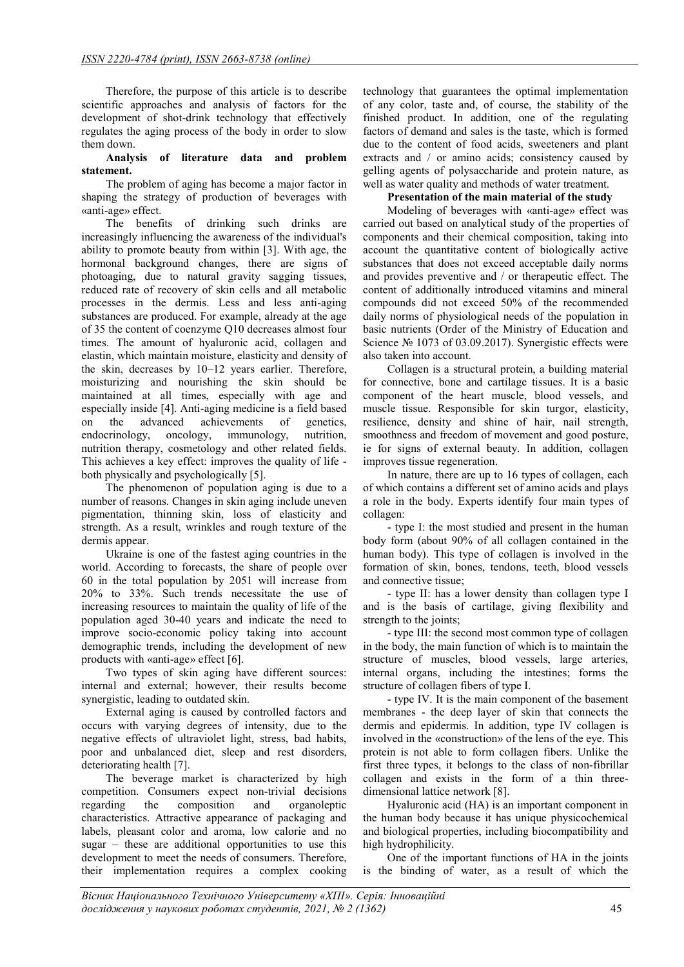Therefore, the purpose of this article is to describe scientific approaches and analysis of factors for the development of shot-drink technology that effectively regulates the aging process of the body in order to slow them down.

# Analysis of literature data and problem statement.

The problem of aging has become a major factor in shaping the strategy of production of beverages with «anti-age» effect.

The benefits of drinking such drinks are increasingly influencing the awareness of the individual's ability to promote beauty from within [3]. With age, the hormonal background changes, there are signs of photoaging, due to natural gravity sagging tissues, reduced rate of recovery of skin cells and all metabolic processes in the dermis. Less and less anti-aging substances are produced. For example, already at the age of 35 the content of coenzyme Q10 decreases almost four times. The amount of hyaluronic acid, collagen and elastin, which maintain moisture, elasticity and density of the skin, decreases by 10–12 years earlier. Therefore, moisturizing and nourishing the skin should be maintained at all times, especially with age and especially inside [4]. Anti-aging medicine is a field based on the advanced achievements of genetics, endocrinology, oncology, immunology, nutrition, nutrition therapy, cosmetology and other related fields. This achieves a key effect: improves the quality of life both physically and psychologically [5].

The phenomenon of population aging is due to a number of reasons. Changes in skin aging include uneven pigmentation, thinning skin, loss of elasticity and strength. As a result, wrinkles and rough texture of the dermis appear.

Ukraine is one of the fastest aging countries in the world. According to forecasts, the share of people over 60 in the total population by 2051 will increase from 20% to 33%. Such trends necessitate the use of increasing resources to maintain the quality of life of the population aged 30-40 years and indicate the need to improve socio-economic policy taking into account demographic trends, including the development of new products with «anti-age» effect [6].

Two types of skin aging have different sources: internal and external; however, their results become synergistic, leading to outdated skin.

External aging is caused by controlled factors and occurs with varying degrees of intensity, due to the negative effects of ultraviolet light, stress, bad habits, poor and unbalanced diet, sleep and rest disorders, deteriorating health [7].

The beverage market is characterized by high competition. Consumers expect non-trivial decisions regarding the composition and organoleptic characteristics. Attractive appearance of packaging and labels, pleasant color and aroma, low calorie and no sugar – these are additional opportunities to use this development to meet the needs of consumers. Therefore, their implementation requires a complex cooking

technology that guarantees the optimal implementation of any color, taste and, of course, the stability of the finished product. In addition, one of the regulating factors of demand and sales is the taste, which is formed due to the content of food acids, sweeteners and plant extracts and / or amino acids; consistency caused by gelling agents of polysaccharide and protein nature, as well as water quality and methods of water treatment.

# Presentation of the main material of the study

Modeling of beverages with «anti-age» effect was carried out based on analytical study of the properties of components and their chemical composition, taking into account the quantitative content of biologically active substances that does not exceed acceptable daily norms and provides preventive and / or therapeutic effect. The content of additionally introduced vitamins and mineral compounds did not exceed 50% of the recommended daily norms of physiological needs of the population in basic nutrients (Order of the Ministry of Education and Science № 1073 of 03.09.2017). Synergistic effects were also taken into account.

Collagen is a structural protein, a building material for connective, bone and cartilage tissues. It is a basic component of the heart muscle, blood vessels, and muscle tissue. Responsible for skin turgor, elasticity, resilience, density and shine of hair, nail strength, smoothness and freedom of movement and good posture, ie for signs of external beauty. In addition, collagen improves tissue regeneration.

In nature, there are up to 16 types of collagen, each of which contains a different set of amino acids and plays a role in the body. Experts identify four main types of collagen:

- type I: the most studied and present in the human body form (about 90% of all collagen contained in the human body). This type of collagen is involved in the formation of skin, bones, tendons, teeth, blood vessels and connective tissue;

- type II: has a lower density than collagen type I and is the basis of cartilage, giving flexibility and strength to the joints;

- type III: the second most common type of collagen in the body, the main function of which is to maintain the structure of muscles, blood vessels, large arteries, internal organs, including the intestines; forms the structure of collagen fibers of type I.

- type IV. It is the main component of the basement membranes - the deep layer of skin that connects the dermis and epidermis. In addition, type IV collagen is involved in the «construction» of the lens of the eye. This protein is not able to form collagen fibers. Unlike the first three types, it belongs to the class of non-fibrillar collagen and exists in the form of a thin threedimensional lattice network [8].

Hyaluronic acid (HA) is an important component in the human body because it has unique physicochemical and biological properties, including biocompatibility and high hydrophilicity.

One of the important functions of HA in the joints is the binding of water, as a result of which the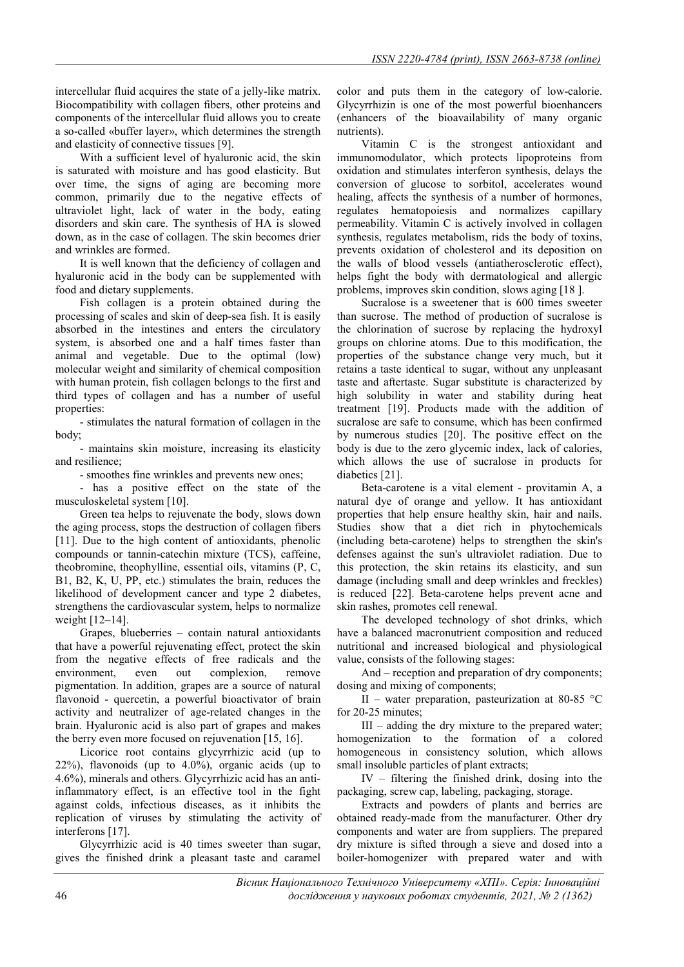intercellular fluid acquires the state of a jelly-like matrix. Biocompatibility with collagen fibers, other proteins and components of the intercellular fluid allows you to create a so-called «buffer layer», which determines the strength and elasticity of connective tissues [9].

With a sufficient level of hyaluronic acid, the skin is saturated with moisture and has good elasticity. But over time, the signs of aging are becoming more common, primarily due to the negative effects of ultraviolet light, lack of water in the body, eating disorders and skin care. The synthesis of HA is slowed down, as in the case of collagen. The skin becomes drier and wrinkles are formed.

It is well known that the deficiency of collagen and hyaluronic acid in the body can be supplemented with food and dietary supplements.

Fish collagen is a protein obtained during the processing of scales and skin of deep-sea fish. It is easily absorbed in the intestines and enters the circulatory system, is absorbed one and a half times faster than animal and vegetable. Due to the optimal (low) molecular weight and similarity of chemical composition with human protein, fish collagen belongs to the first and third types of collagen and has a number of useful properties:

- stimulates the natural formation of collagen in the body;

- maintains skin moisture, increasing its elasticity and resilience;

- smoothes fine wrinkles and prevents new ones;

- has a positive effect on the state of the musculoskeletal system [10].

Green tea helps to rejuvenate the body, slows down the aging process, stops the destruction of collagen fibers [11]. Due to the high content of antioxidants, phenolic compounds or tannin-catechin mixture (TCS), caffeine, theobromine, theophylline, essential oils, vitamins (P, C, B1, B2, K, U, PP, etc.) stimulates the brain, reduces the likelihood of development cancer and type 2 diabetes, strengthens the cardiovascular system, helps to normalize weight [12–14].

Grapes, blueberries – contain natural antioxidants that have a powerful rejuvenating effect, protect the skin from the negative effects of free radicals and the environment, even out complexion, remove pigmentation. In addition, grapes are a source of natural flavonoid - quercetin, a powerful bioactivator of brain activity and neutralizer of age-related changes in the brain. Hyaluronic acid is also part of grapes and makes the berry even more focused on rejuvenation [15, 16].

Licorice root contains glycyrrhizic acid (up to 22%), flavonoids (up to 4.0%), organic acids (up to 4.6%), minerals and others. Glycyrrhizic acid has an antiinflammatory effect, is an effective tool in the fight against colds, infectious diseases, as it inhibits the replication of viruses by stimulating the activity of interferons [17].

Glycyrrhizic acid is 40 times sweeter than sugar, gives the finished drink a pleasant taste and caramel color and puts them in the category of low-calorie. Glycyrrhizin is one of the most powerful bioenhancers (enhancers of the bioavailability of many organic nutrients).

Vitamin C is the strongest antioxidant and immunomodulator, which protects lipoproteins from oxidation and stimulates interferon synthesis, delays the conversion of glucose to sorbitol, accelerates wound healing, affects the synthesis of a number of hormones, regulates hematopoiesis and normalizes capillary permeability. Vitamin C is actively involved in collagen synthesis, regulates metabolism, rids the body of toxins, prevents oxidation of cholesterol and its deposition on the walls of blood vessels (antiatherosclerotic effect), helps fight the body with dermatological and allergic problems, improves skin condition, slows aging [18 ].

Sucralose is a sweetener that is 600 times sweeter than sucrose. The method of production of sucralose is the chlorination of sucrose by replacing the hydroxyl groups on chlorine atoms. Due to this modification, the properties of the substance change very much, but it retains a taste identical to sugar, without any unpleasant taste and aftertaste. Sugar substitute is characterized by high solubility in water and stability during heat treatment [19]. Products made with the addition of sucralose are safe to consume, which has been confirmed by numerous studies [20]. The positive effect on the body is due to the zero glycemic index, lack of calories, which allows the use of sucralose in products for diabetics [21].

Beta-carotene is a vital element - provitamin A, a natural dye of orange and yellow. It has antioxidant properties that help ensure healthy skin, hair and nails. Studies show that a diet rich in phytochemicals (including beta-carotene) helps to strengthen the skin's defenses against the sun's ultraviolet radiation. Due to this protection, the skin retains its elasticity, and sun damage (including small and deep wrinkles and freckles) is reduced [22]. Beta-carotene helps prevent acne and skin rashes, promotes cell renewal.

The developed technology of shot drinks, which have a balanced macronutrient composition and reduced nutritional and increased biological and physiological value, consists of the following stages:

And – reception and preparation of dry components; dosing and mixing of components;

II – water preparation, pasteurization at 80-85 °C for 20-25 minutes;

 $III - adding the dry mixture to the prepared water;$ homogenization to the formation of a colored homogeneous in consistency solution, which allows small insoluble particles of plant extracts;

IV – filtering the finished drink, dosing into the packaging, screw cap, labeling, packaging, storage.

Extracts and powders of plants and berries are obtained ready-made from the manufacturer. Other dry components and water are from suppliers. The prepared dry mixture is sifted through a sieve and dosed into a boiler-homogenizer with prepared water and with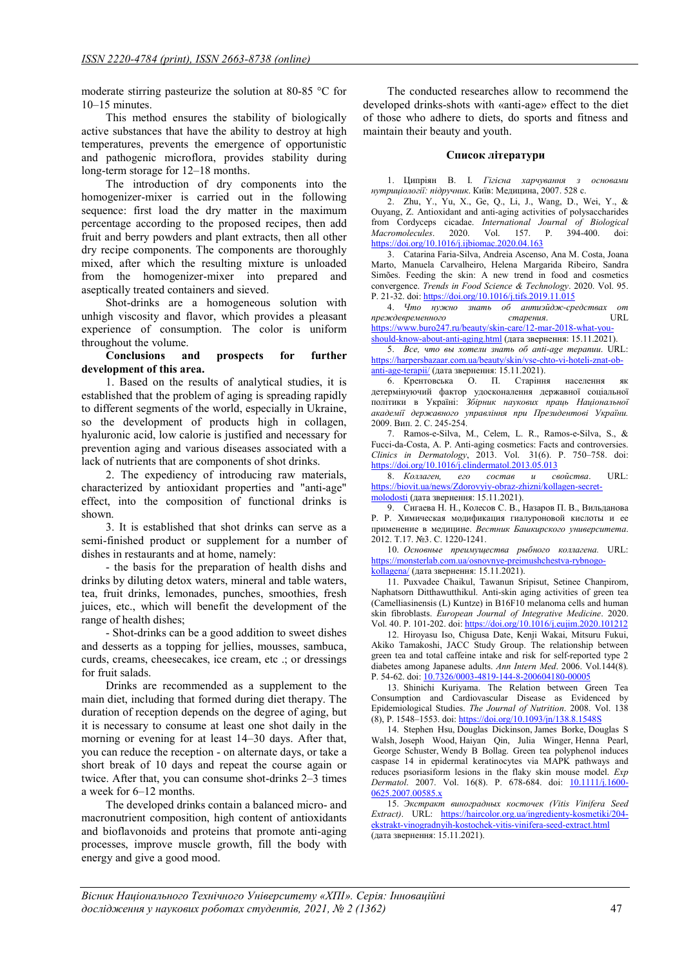moderate stirring pasteurize the solution at 80-85 °С for 10–15 minutes.

This method ensures the stability of biologically active substances that have the ability to destroy at high temperatures, prevents the emergence of opportunistic and pathogenic microflora, provides stability during long-term storage for 12–18 months.

The introduction of dry components into the homogenizer-mixer is carried out in the following sequence: first load the dry matter in the maximum percentage according to the proposed recipes, then add fruit and berry powders and plant extracts, then all other dry recipe components. The components are thoroughly mixed, after which the resulting mixture is unloaded from the homogenizer-mixer into prepared and aseptically treated containers and sieved.

Shot-drinks are a homogeneous solution with unhigh viscosity and flavor, which provides a pleasant experience of consumption. The color is uniform throughout the volume.

Conclusions and prospects for further development of this area.

1. Based on the results of analytical studies, it is established that the problem of aging is spreading rapidly to different segments of the world, especially in Ukraine, so the development of products high in collagen, hyaluronic acid, low calorie is justified and necessary for prevention aging and various diseases associated with a lack of nutrients that are components of shot drinks.

2. The expediency of introducing raw materials, characterized by antioxidant properties and "anti-age" effect, into the composition of functional drinks is shown.

3. It is established that shot drinks can serve as a semi-finished product or supplement for a number of dishes in restaurants and at home, namely:

- the basis for the preparation of health dishs and drinks by diluting detox waters, mineral and table waters, tea, fruit drinks, lemonades, punches, smoothies, fresh juices, etc., which will benefit the development of the range of health dishes;

- Shot-drinks can be a good addition to sweet dishes and desserts as a topping for jellies, mousses, sambuca, curds, creams, cheesecakes, ice cream, etc .; or dressings for fruit salads.

Drinks are recommended as a supplement to the main diet, including that formed during diet therapy. The duration of reception depends on the degree of aging, but it is necessary to consume at least one shot daily in the morning or evening for at least 14–30 days. After that, you can reduce the reception - on alternate days, or take a short break of 10 days and repeat the course again or twice. After that, you can consume shot-drinks 2–3 times a week for 6–12 months.

The developed drinks contain a balanced micro- and macronutrient composition, high content of antioxidants and bioflavonoids and proteins that promote anti-aging processes, improve muscle growth, fill the body with energy and give a good mood.

The conducted researches allow to recommend the developed drinks-shots with «anti-age» effect to the diet of those who adhere to diets, do sports and fitness and maintain their beauty and youth.

### Список літератури

1. Ципріян В. І. Гігієна харчування з основами нутриціології: підручник. Київ: Медицина, 2007. 528 с.

2. Zhu, Y., Yu, X., Ge, Q., Li, J., Wang, D., Wei, Y., & Ouyang, Z. Antioxidant and anti-aging activities of polysaccharides from Cordyceps cicadae. International Journal of Biological<br>Macromolecules. 2020. Vol. 157. P. 394-400. doi: Macromolecules. 2020. Vol. 157. P. 394-400. doi: https://doi.org/10.1016/j.ijbiomac.2020.04.163

3. Catarina Faria-Silva, Andreia Ascenso, Ana M. Costa, Joana Marto, Manuela Carvalheiro, Helena Margarida Ribeiro, Sandra Simões. Feeding the skin: A new trend in food and cosmetics convergence. Trends in Food Science & Technology. 2020. Vol. 95. Р. 21-32. doi: https://doi.org/10.1016/j.tifs.2019.11.015

4. Что нужно знать об антиэйдж-средствах от преждевременного старения. URL https://www.buro247.ru/beauty/skin-care/12-mar-2018-what-you-

should-know-about-anti-aging.html (дата звернення: 15.11.2021). 5. Все, что вы хотели знать об anti-age терапии. URL: https://harpersbazaar.com.ua/beauty/skin/vse-chto-vi-hoteli-znat-obanti-age-terapii/ (дата звернення: 15.11.2021).

6. Крентовська О. П. Старіння населення як детермінуючий фактор удосконалення державної соціальної політики в Україні: Збірник наукових праць Національної академії державного управління при Президентові України. 2009. Вип. 2. С. 245-254.

7. Ramos-e-Silva, M., Celem, L. R., Ramos-e-Silva, S., & Fucci-da-Costa, A. P. Anti-aging cosmetics: Facts and controversies. Clinics in Dermatology, 2013. Vol. 31(6). Р. 750–758. doi: https://doi.org/10.1016/j.clindermatol.2013.05.013

8. Коллаген, его состав и свойства. URL: https://biovit.ua/news/Zdorovyiy-obraz-zhizni/kollagen-secretmolodosti (дата звернення: 15.11.2021).

9. Сигаева Н. Н., Колесов С. В., Назаров П. В., Вильданова Р. Р. Химическая модификация гиалуроновой кислоты и ее применение в медицине. Вестник Башкирского университета. 2012. Т.17. №3. С. 1220-1241.

10. Основные преимущества рыбного коллагена. URL: https://monsterlab.com.ua/osnovnye-preimushchestva-rybnogokollagena/ (дата звернення: 15.11.2021).

11. Puxvadee Chaikul, Tawanun Sripisut, Setinee Chanpirom, Naphatsorn Ditthawutthikul. Anti-skin aging activities of green tea (Camelliasinensis (L) Kuntze) in B16F10 melanoma cells and human skin fibroblasts. European Journal of Integrative Medicine. 2020. Vol. 40. Р. 101-202. doi: https://doi.org/10.1016/j.eujim.2020.101212

12. Hiroyasu Iso, Chigusa Date, Kenji Wakai, Mitsuru Fukui, Akiko Tamakoshi, JACC Study Group. The relationship between green tea and total caffeine intake and risk for self-reported type 2 diabetes among Japanese adults. Ann Intern Med. 2006. Vol.144(8). Р. 54-62. doi: 10.7326/0003-4819-144-8-200604180-00005

13. Shinichi Kuriyama. The Relation between Green Tea Consumption and Cardiovascular Disease as Evidenced by Epidemiological Studies. The Journal of Nutrition. 2008. Vol. 138 (8), P. 1548–1553. doi: https://doi.org/10.1093/jn/138.8.1548S

14. Stephen Hsu, Douglas Dickinson, James Borke, Douglas S Walsh, Joseph Wood, Haiyan Qin, Julia Winger, Henna Pearl, George Schuster, Wendy B Bollag. Green tea polyphenol induces caspase 14 in epidermal keratinocytes via MAPK pathways and reduces psoriasiform lesions in the flaky skin mouse model. Exp Dermatol. 2007. Vol. 16(8). P. 678-684. doi: 10.1111/j.1600-0625.2007.00585.x

15. Экстракт виноградных косточек (Vitis Vinifera Seed Extract). URL: https://haircolor.org.ua/ingredienty-kosmetiki/204 ekstrakt-vinogradnyih-kostochek-vitis-vinifera-seed-extract.html (дата звернення: 15.11.2021).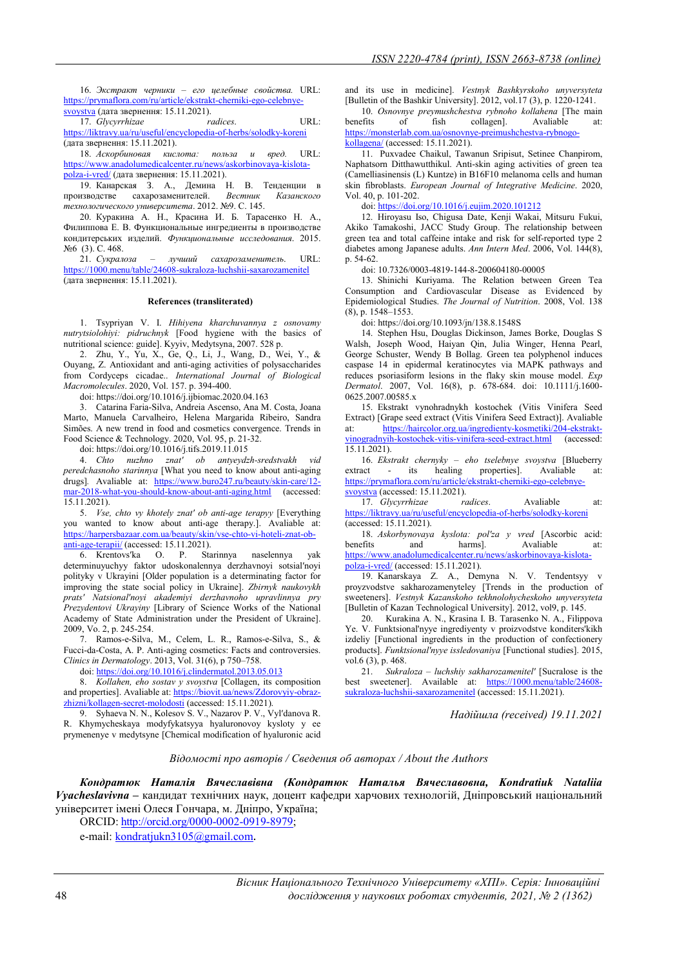16. Экстракт черники – его целебные свойства. URL: https://prymaflora.com/ru/article/ekstrakt-cherniki-ego-celebnyesvoystva (дата звернення: 15.11.2021).<br>17. Glycyrrhizae radices.

17. Glycyrrhizae *radices*. URL: https://liktravy.ua/ru/useful/encyclopedia-of-herbs/solodky-koreni (дата звернення: 15.11.2021).

18. Аскорбиновая кислота: польза и вред. URL: https://www.anadolumedicalcenter.ru/news/askorbinovaya-kislotapolza-i-vred/ (дата звернення: 15.11.2021).

19. Канарская З. А., Демина Н. В. Тенденции в производстве сахарозаменителей. Вестник Казанского технологического университета. 2012. №9. С. 145.

20. Куракина А. Н., Красина И. Б. Тарасенко Н. А., Филиппова Е. В. Функциональные ингредиенты в производстве кондитерських изделий. Функциональные исследования. 2015.  $N<sub>2</sub>6$  (3). C. 468.

21. Сукралоза – лучший сахарозаменитель. URL: https://1000.menu/table/24608-sukraloza-luchshii-saxarozamenitel (дата звернення: 15.11.2021).

### References (transliterated)

1. Tsypriyan V. I. Hihiyena kharchuvannya z osnovamy nutrytsiolohiyi: pidruchnyk [Food hygiene with the basics of nutritional science: guide]. Kyyiv, Medytsyna, 2007. 528 p.

2. Zhu, Y., Yu, X., Ge, Q., Li, J., Wang, D., Wei, Y., & Ouyang, Z. Antioxidant and anti-aging activities of polysaccharides from Cordyceps cicadae.. International Journal of Biological Macromolecules. 2020, Vol. 157. p. 394-400.

doi: https://doi.org/10.1016/j.ijbiomac.2020.04.163

3. Catarina Faria-Silva, Andreia Ascenso, Ana M. Costa, Joana Marto, Manuela Carvalheiro, Helena Margarida Ribeiro, Sandra Simões. A new trend in food and cosmetics convergence. Trends in Food Science & Technology. 2020, Vol. 95, p. 21-32.

doi: https://doi.org/10.1016/j.tifs.2019.11.015

4. Chto nuzhno znatʹ ob antyeydzh-sredstvakh vid peredchasnoho starinnya [What you need to know about anti-aging drugs]. Avaliable at: https://www.buro247.ru/beauty/skin-care/12 mar-2018-what-you-should-know-about-anti-aging.html (accessed: 15.11.2021).

5. *Vse, chto vy khotely znat' ob anti-age terapyy* [Everything] you wanted to know about anti-age therapy.]. Avaliable at: https://harpersbazaar.com.ua/beauty/skin/vse-chto-vi-hoteli-znat-obanti-age-terapii/ (accessed: 15.11.2021).

6. Krentovsʹka O. P. Starinnya naselennya yak determinuyuchyy faktor udoskonalennya derzhavnoyi sotsialʹnoyi polityky v Ukrayini [Older population is a determinating factor for improving the state social policy in Ukraine]. Zbirnyk naukovykh pratsʹ Natsionalʹnoyi akademiyi derzhavnoho upravlinnya pry Prezydentovi Ukrayiny [Library of Science Works of the National Academy of State Administration under the President of Ukraine]. 2009, Vo. 2, p. 245-254.

7. Ramos-e-Silva, M., Celem, L. R., Ramos-e-Silva, S., & Fucci-da-Costa, A. P. Anti-aging cosmetics: Facts and controversies. Clinics in Dermatology. 2013, Vol. 31(6), p 750–758.

doi: https://doi.org/10.1016/j.clindermatol.2013.05.013

8. Kollahen, eho sostav y svoystva [Collagen, its composition and properties]. Avaliable at: https://biovit.ua/news/Zdorovyiy-obrazzhizni/kollagen-secret-molodosti (accessed: 15.11.2021).

9. Syhaeva N. N., Kolesov S. V., Nazarov P. V., Vylʹdanova R. R. Khymycheskaya modyfykatsyya hyaluronovoy kysloty y ee prymenenye v medytsyne [Chemical modification of hyaluronic acid

and its use in medicine]. Vestnyk Bashkyrskoho unyversyteta [Bulletin of the Bashkir University]. 2012, vol.17 (3), p. 1220-1241.

10. Osnovnye preymushchestva rybnoho kollahena [The main benefits of fish collagen]. Avaliable at: https://monsterlab.com.ua/osnovnye-preimushchestva-rybnogokollagena/ (accessed: 15.11.2021).

11. Puxvadee Chaikul, Tawanun Sripisut, Setinee Chanpirom, Naphatsorn Ditthawutthikul. Anti-skin aging activities of green tea (Camelliasinensis (L) Kuntze) in B16F10 melanoma cells and human skin fibroblasts. European Journal of Integrative Medicine. 2020, Vol. 40, p. 101-202.

doi: https://doi.org/10.1016/j.eujim.2020.101212

12. Hiroyasu Iso, Chigusa Date, Kenji Wakai, Mitsuru Fukui, Akiko Tamakoshi, JACC Study Group. The relationship between green tea and total caffeine intake and risk for self-reported type 2 diabetes among Japanese adults. Ann Intern Med. 2006, Vol. 144(8), p. 54-62.

doi: 10.7326/0003-4819-144-8-200604180-00005

13. Shinichi Kuriyama. The Relation between Green Tea Consumption and Cardiovascular Disease as Evidenced by Epidemiological Studies. The Journal of Nutrition. 2008, Vol. 138 (8), p. 1548–1553.

doi: https://doi.org/10.1093/jn/138.8.1548S

14. Stephen Hsu, Douglas Dickinson, James Borke, Douglas S Walsh, Joseph Wood, Haiyan Qin, Julia Winger, Henna Pearl, George Schuster, Wendy B Bollag. Green tea polyphenol induces caspase 14 in epidermal keratinocytes via MAPK pathways and reduces psoriasiform lesions in the flaky skin mouse model. Exp Dermatol. 2007, Vol. 16(8), p. 678-684. doi: 10.1111/j.1600- 0625.2007.00585.x

15. Ekstrakt vynohradnykh kostochek (Vitis Vinifera Seed Extract) [Grape seed extract (Vitis Vinifera Seed Extract)]. Avaliable at: https://haircolor.org.ua/ingredienty-kosmetiki/204-ekstraktvinogradnyih-kostochek-vitis-vinifera-seed-extract.html (accessed:  $15.11.2021$ 

16. Ekstrakt chernyky – eho tselebnye svoystva [Blueberry extract - its healing properties]. Avaliable at: https://prymaflora.com/ru/article/ekstrakt-cherniki-ego-celebnye-

svoystva (accessed: 15.11.2021).

17. Glycyrrhizae radices. Avaliable at: https://liktravy.ua/ru/useful/encyclopedia-of-herbs/solodky-koreni (accessed: 15.11.2021).

18. Askorbynovaya kyslota: pol'za y vred [Ascorbic acid: benefits and harms]. Avaliable at: https://www.anadolumedicalcenter.ru/news/askorbinovaya-kislotapolza-i-vred/ (accessed: 15.11.2021).

19. Kanarskaya Z. A., Demyna N. V. Tendentsyy v proyzvodstve sakharozamenyteley [Trends in the production of sweeteners]. Vestnyk Kazanskoho tekhnolohycheskoho unyversyteta [Bulletin of Kazan Technological University]. 2012, vol9, p. 145.

20. Kurakina A. N., Krasina I. B. Tarasenko N. A., Filippova Ye. V. Funktsional'nyye ingrediyenty v proizvodstve konditers'kikh izdeliy [Functional ingredients in the production of confectionery products]. Funktsional'nyye issledovaniya [Functional studies]. 2015, vol.6 (3), p. 468.

21. Sukraloza – luchshiy sakharozamenitel' [Sucralose is the best sweetener]. Available at: https://1000.menu/table/24608sukraloza-luchshii-saxarozamenitel (accessed: 15.11.2021).

Надійшла (received) 19.11.2021

### Відомості про авторів / Сведения об авторах / About the Authors

Кондратюк Наталія Вячеславівна (Кондратюк Наталья Вячеславовна, Kondratiuk Nataliia Vyacheslavivna - кандидат технічних наук, доцент кафедри харчових технологій, Дніпровський національний університет імені Олеся Гончара, м. Дніпро, Україна; ORCID: http://orcid.org/0000-0002-0919-8979;

e-mail: kondratjukn3105@gmail.com.